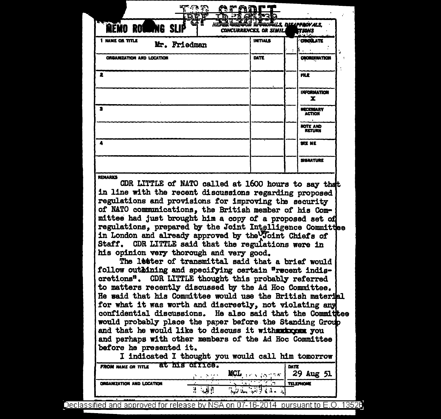| NEFER CERCOR ROCHERS, DISAPPROVALS, |                                                          |
|-------------------------------------|----------------------------------------------------------|
| INITIALS                            | <b>TIONS</b><br>CROULATE                                 |
| <b>DATE</b>                         | <b>COCRDINATION</b>                                      |
|                                     | <b>FILE</b>                                              |
|                                     | <b>INFORMATION</b><br>x                                  |
|                                     | <b>NECESSARY</b><br>ACTION                               |
|                                     | <b>NOTE AND</b><br><b>RETURN</b>                         |
|                                     | SEE ME                                                   |
|                                     | <b>SIGNATURE</b>                                         |
|                                     | ורו מייני<br>r<br><b>D-2A</b><br>CONCURRENCES, OR SIMILA |

CDR LITTLE of NATO called at 1600 hours to say that in line with the recent discussions regarding proposed regulations and provisions for improving the security of NATO communications, the British member of his Committee had just brought him a copy of a proposed set of regulations, prepared by the Joint Intelligence Committee in London and already approved by the Joint Chiefs of Staff. CDR LITTLE said that the regulations were in his opinion very thorough and very good.

The letter of transmittal said that a brief would follow outhining and specifying certain "recent indiscretions". CDR LITTLE thought this probably referred to matters recently discussed by the Ad Hoc Committee. He said that his Committee would use the British material for what it was worth and discreetly, not violating any confidential discussions. He also said that the Committee would probably place the paper before the Standing Group and that he would like to discuss it withworkxxmm you and perhaps with other members of the Ad Hoc Committee before he presented it.

|                           |                                                                     | I indicated I thought you would call him tomorrow |                  |
|---------------------------|---------------------------------------------------------------------|---------------------------------------------------|------------------|
| <b>FROM MAME OR TITLE</b> | at ms orrice.<br>$\mathcal{O}(\mathcal{O}_\mathcal{A})$ . Note that | $MCL$ $\sim$ $\sim$ $\sim$ $\sim$ 29 Aug 51       | DATE             |
| ORGANIZATION AND LOCATION |                                                                     | <u>الديمة الإنترانية</u>                          | <b>TELEPHONE</b> |

Declassified and approved for release by NSA on 07-16-2014 pursuant to E.O. 13526